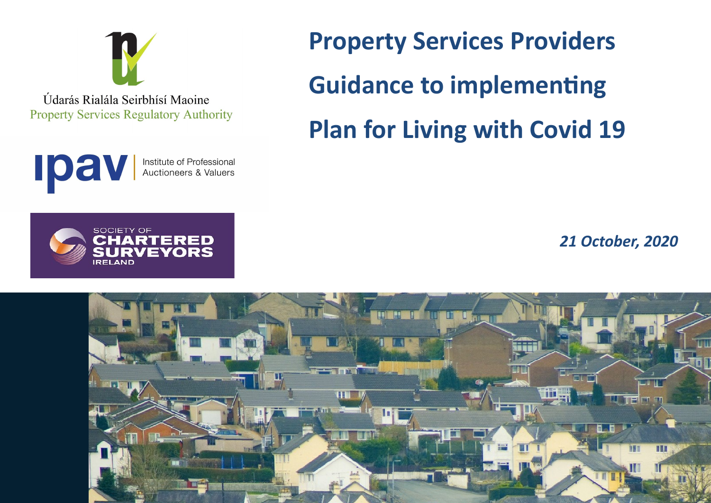

Údarás Rialála Seirbhísí Maoine **Property Services Regulatory Authority** 



ERED EVORS

**SOCIETY OF** 

**REI AND** 

**Property Services Providers Guidance to implementing Plan for Living with Covid 19**

*21 October, 2020*

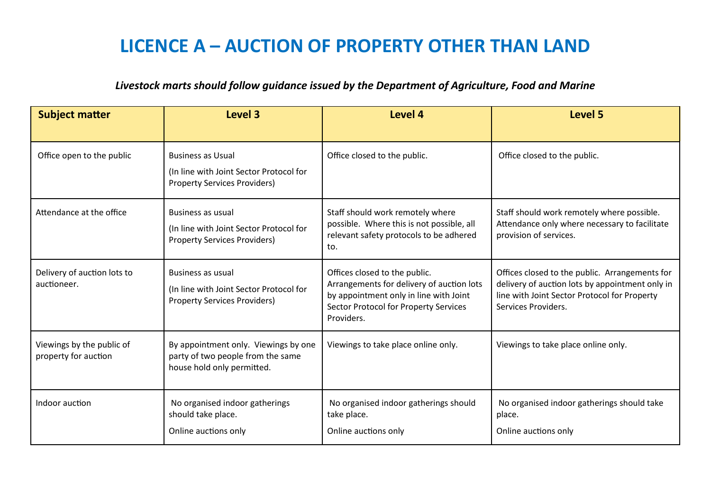#### **LICENCE A – AUCTION OF PROPERTY OTHER THAN LAND**

#### *Livestock marts should follow guidance issued by the Department of Agriculture, Food and Marine*

| <b>Subject matter</b>                             | Level 3                                                                                                    | Level 4                                                                                                                                                                            | Level 5                                                                                                                                                                  |
|---------------------------------------------------|------------------------------------------------------------------------------------------------------------|------------------------------------------------------------------------------------------------------------------------------------------------------------------------------------|--------------------------------------------------------------------------------------------------------------------------------------------------------------------------|
| Office open to the public                         | <b>Business as Usual</b><br>(In line with Joint Sector Protocol for<br><b>Property Services Providers)</b> | Office closed to the public.                                                                                                                                                       | Office closed to the public.                                                                                                                                             |
| Attendance at the office                          | <b>Business as usual</b><br>(In line with Joint Sector Protocol for<br><b>Property Services Providers)</b> | Staff should work remotely where<br>possible. Where this is not possible, all<br>relevant safety protocols to be adhered<br>to.                                                    | Staff should work remotely where possible.<br>Attendance only where necessary to facilitate<br>provision of services.                                                    |
| Delivery of auction lots to<br>auctioneer.        | Business as usual<br>(In line with Joint Sector Protocol for<br><b>Property Services Providers)</b>        | Offices closed to the public.<br>Arrangements for delivery of auction lots<br>by appointment only in line with Joint<br><b>Sector Protocol for Property Services</b><br>Providers. | Offices closed to the public. Arrangements for<br>delivery of auction lots by appointment only in<br>line with Joint Sector Protocol for Property<br>Services Providers. |
| Viewings by the public of<br>property for auction | By appointment only. Viewings by one<br>party of two people from the same<br>house hold only permitted.    | Viewings to take place online only.                                                                                                                                                | Viewings to take place online only.                                                                                                                                      |
| Indoor auction                                    | No organised indoor gatherings<br>should take place.<br>Online auctions only                               | No organised indoor gatherings should<br>take place.<br>Online auctions only                                                                                                       | No organised indoor gatherings should take<br>place.<br>Online auctions only                                                                                             |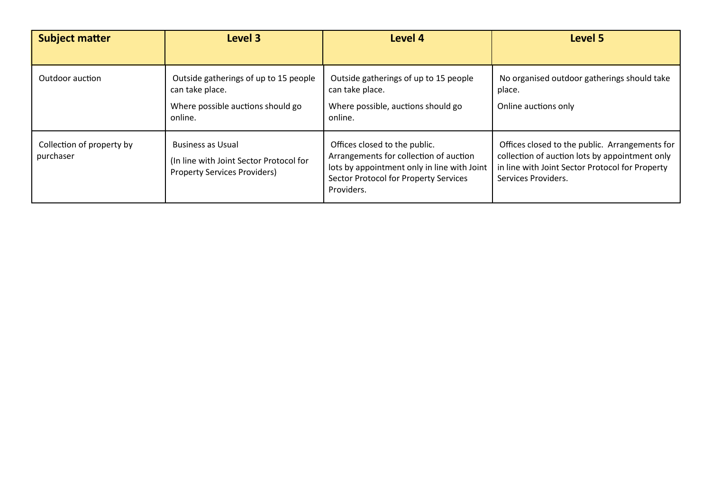| <b>Subject matter</b>                  | <b>Level 3</b>                                                                                             | Level 4                                                                                                                                                                       | Level 5                                                                                                                                                                    |
|----------------------------------------|------------------------------------------------------------------------------------------------------------|-------------------------------------------------------------------------------------------------------------------------------------------------------------------------------|----------------------------------------------------------------------------------------------------------------------------------------------------------------------------|
| Outdoor auction                        | Outside gatherings of up to 15 people<br>can take place.<br>Where possible auctions should go<br>online.   | Outside gatherings of up to 15 people<br>can take place.<br>Where possible, auctions should go<br>online.                                                                     | No organised outdoor gatherings should take<br>place.<br>Online auctions only                                                                                              |
| Collection of property by<br>purchaser | <b>Business as Usual</b><br>(In line with Joint Sector Protocol for<br><b>Property Services Providers)</b> | Offices closed to the public.<br>Arrangements for collection of auction<br>lots by appointment only in line with Joint<br>Sector Protocol for Property Services<br>Providers. | Offices closed to the public. Arrangements for<br>collection of auction lots by appointment only<br>in line with Joint Sector Protocol for Property<br>Services Providers. |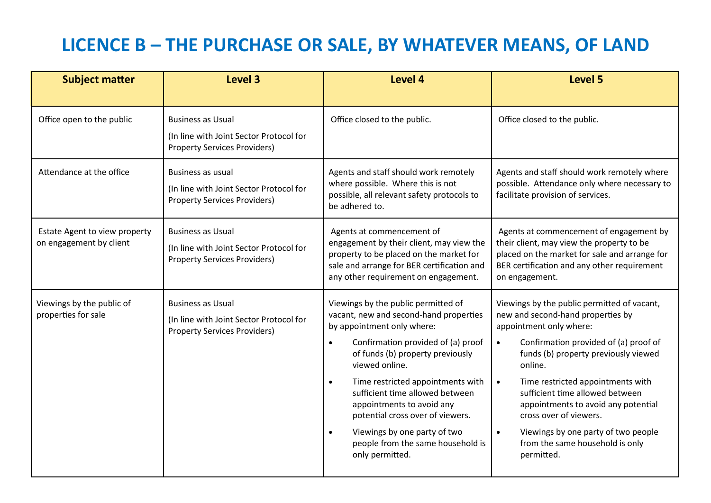# **LICENCE B – THE PURCHASE OR SALE, BY WHATEVER MEANS, OF LAND**

| <b>Subject matter</b>                                    | Level 3                                                                                                    | Level 4                                                                                                                                                                                                                                                                                                                                                                                                                                                                         | Level 5                                                                                                                                                                                                                                                                                                                                                                                                                                                                         |
|----------------------------------------------------------|------------------------------------------------------------------------------------------------------------|---------------------------------------------------------------------------------------------------------------------------------------------------------------------------------------------------------------------------------------------------------------------------------------------------------------------------------------------------------------------------------------------------------------------------------------------------------------------------------|---------------------------------------------------------------------------------------------------------------------------------------------------------------------------------------------------------------------------------------------------------------------------------------------------------------------------------------------------------------------------------------------------------------------------------------------------------------------------------|
| Office open to the public                                | <b>Business as Usual</b><br>(In line with Joint Sector Protocol for<br><b>Property Services Providers)</b> | Office closed to the public.                                                                                                                                                                                                                                                                                                                                                                                                                                                    | Office closed to the public.                                                                                                                                                                                                                                                                                                                                                                                                                                                    |
| Attendance at the office                                 | <b>Business as usual</b><br>(In line with Joint Sector Protocol for<br><b>Property Services Providers)</b> | Agents and staff should work remotely<br>where possible. Where this is not<br>possible, all relevant safety protocols to<br>be adhered to.                                                                                                                                                                                                                                                                                                                                      | Agents and staff should work remotely where<br>possible. Attendance only where necessary to<br>facilitate provision of services.                                                                                                                                                                                                                                                                                                                                                |
| Estate Agent to view property<br>on engagement by client | <b>Business as Usual</b><br>(In line with Joint Sector Protocol for<br><b>Property Services Providers)</b> | Agents at commencement of<br>engagement by their client, may view the<br>property to be placed on the market for<br>sale and arrange for BER certification and<br>any other requirement on engagement.                                                                                                                                                                                                                                                                          | Agents at commencement of engagement by<br>their client, may view the property to be<br>placed on the market for sale and arrange for<br>BER certification and any other requirement<br>on engagement.                                                                                                                                                                                                                                                                          |
| Viewings by the public of<br>properties for sale         | <b>Business as Usual</b><br>(In line with Joint Sector Protocol for<br><b>Property Services Providers)</b> | Viewings by the public permitted of<br>vacant, new and second-hand properties<br>by appointment only where:<br>Confirmation provided of (a) proof<br>$\bullet$<br>of funds (b) property previously<br>viewed online.<br>Time restricted appointments with<br>$\bullet$<br>sufficient time allowed between<br>appointments to avoid any<br>potential cross over of viewers.<br>Viewings by one party of two<br>$\bullet$<br>people from the same household is<br>only permitted. | Viewings by the public permitted of vacant,<br>new and second-hand properties by<br>appointment only where:<br>Confirmation provided of (a) proof of<br>$\bullet$<br>funds (b) property previously viewed<br>online.<br>Time restricted appointments with<br>$\bullet$<br>sufficient time allowed between<br>appointments to avoid any potential<br>cross over of viewers.<br>Viewings by one party of two people<br>$\bullet$<br>from the same household is only<br>permitted. |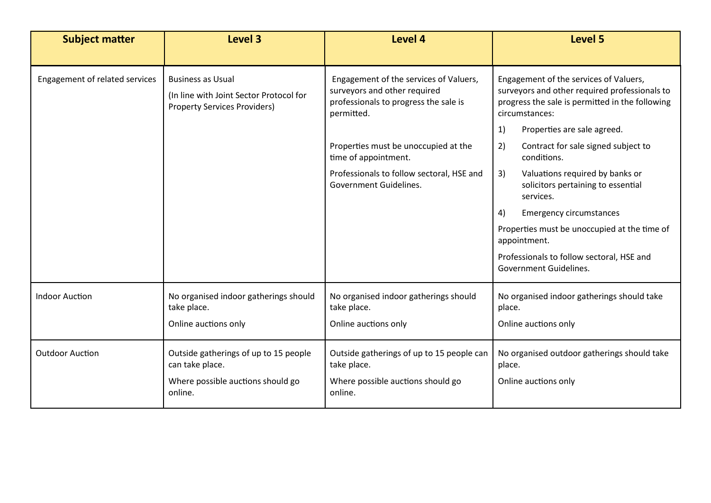| <b>Subject matter</b>                 | Level 3                                                                                                    | Level 4                                                                                                                       | <b>Level 5</b>                                                                                                                                                                                    |
|---------------------------------------|------------------------------------------------------------------------------------------------------------|-------------------------------------------------------------------------------------------------------------------------------|---------------------------------------------------------------------------------------------------------------------------------------------------------------------------------------------------|
| <b>Engagement of related services</b> | <b>Business as Usual</b><br>(In line with Joint Sector Protocol for<br><b>Property Services Providers)</b> | Engagement of the services of Valuers,<br>surveyors and other required<br>professionals to progress the sale is<br>permitted. | Engagement of the services of Valuers,<br>surveyors and other required professionals to<br>progress the sale is permitted in the following<br>circumstances:<br>1)<br>Properties are sale agreed. |
|                                       |                                                                                                            | Properties must be unoccupied at the<br>time of appointment.                                                                  | 2)<br>Contract for sale signed subject to<br>conditions.                                                                                                                                          |
|                                       |                                                                                                            | Professionals to follow sectoral, HSE and<br>Government Guidelines.                                                           | 3)<br>Valuations required by banks or<br>solicitors pertaining to essential<br>services.                                                                                                          |
|                                       |                                                                                                            |                                                                                                                               | 4)<br><b>Emergency circumstances</b>                                                                                                                                                              |
|                                       |                                                                                                            |                                                                                                                               | Properties must be unoccupied at the time of<br>appointment.                                                                                                                                      |
|                                       |                                                                                                            |                                                                                                                               | Professionals to follow sectoral, HSE and<br><b>Government Guidelines.</b>                                                                                                                        |
| <b>Indoor Auction</b>                 | No organised indoor gatherings should<br>take place.                                                       | No organised indoor gatherings should<br>take place.                                                                          | No organised indoor gatherings should take<br>place.                                                                                                                                              |
|                                       | Online auctions only                                                                                       | Online auctions only                                                                                                          | Online auctions only                                                                                                                                                                              |
| <b>Outdoor Auction</b>                | Outside gatherings of up to 15 people<br>can take place.                                                   | Outside gatherings of up to 15 people can<br>take place.                                                                      | No organised outdoor gatherings should take<br>place.                                                                                                                                             |
|                                       | Where possible auctions should go<br>online.                                                               | Where possible auctions should go<br>online.                                                                                  | Online auctions only                                                                                                                                                                              |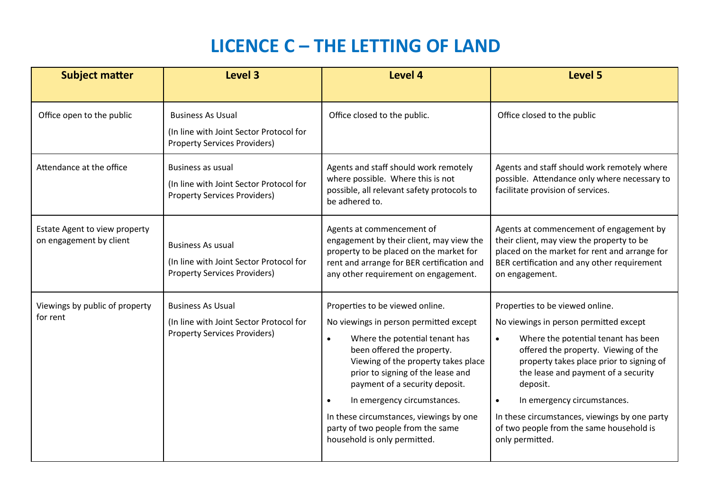### **LICENCE C – THE LETTING OF LAND**

| <b>Subject matter</b>                                    | Level 3                                                                                                    | <b>Level 4</b>                                                                                                                                                                                                                                                                                                                                                                                                                   | <b>Level 5</b>                                                                                                                                                                                                                                                                                                                                                                                                                   |
|----------------------------------------------------------|------------------------------------------------------------------------------------------------------------|----------------------------------------------------------------------------------------------------------------------------------------------------------------------------------------------------------------------------------------------------------------------------------------------------------------------------------------------------------------------------------------------------------------------------------|----------------------------------------------------------------------------------------------------------------------------------------------------------------------------------------------------------------------------------------------------------------------------------------------------------------------------------------------------------------------------------------------------------------------------------|
| Office open to the public                                | <b>Business As Usual</b><br>(In line with Joint Sector Protocol for<br><b>Property Services Providers)</b> | Office closed to the public.                                                                                                                                                                                                                                                                                                                                                                                                     | Office closed to the public                                                                                                                                                                                                                                                                                                                                                                                                      |
| Attendance at the office                                 | <b>Business as usual</b><br>(In line with Joint Sector Protocol for<br><b>Property Services Providers)</b> | Agents and staff should work remotely<br>where possible. Where this is not<br>possible, all relevant safety protocols to<br>be adhered to.                                                                                                                                                                                                                                                                                       | Agents and staff should work remotely where<br>possible. Attendance only where necessary to<br>facilitate provision of services.                                                                                                                                                                                                                                                                                                 |
| Estate Agent to view property<br>on engagement by client | <b>Business As usual</b><br>(In line with Joint Sector Protocol for<br><b>Property Services Providers)</b> | Agents at commencement of<br>engagement by their client, may view the<br>property to be placed on the market for<br>rent and arrange for BER certification and<br>any other requirement on engagement.                                                                                                                                                                                                                           | Agents at commencement of engagement by<br>their client, may view the property to be<br>placed on the market for rent and arrange for<br>BER certification and any other requirement<br>on engagement.                                                                                                                                                                                                                           |
| Viewings by public of property<br>for rent               | <b>Business As Usual</b><br>(In line with Joint Sector Protocol for<br><b>Property Services Providers)</b> | Properties to be viewed online.<br>No viewings in person permitted except<br>Where the potential tenant has<br>$\bullet$<br>been offered the property.<br>Viewing of the property takes place<br>prior to signing of the lease and<br>payment of a security deposit.<br>In emergency circumstances.<br>$\bullet$<br>In these circumstances, viewings by one<br>party of two people from the same<br>household is only permitted. | Properties to be viewed online.<br>No viewings in person permitted except<br>Where the potential tenant has been<br>$\bullet$<br>offered the property. Viewing of the<br>property takes place prior to signing of<br>the lease and payment of a security<br>deposit.<br>In emergency circumstances.<br>$\bullet$<br>In these circumstances, viewings by one party<br>of two people from the same household is<br>only permitted. |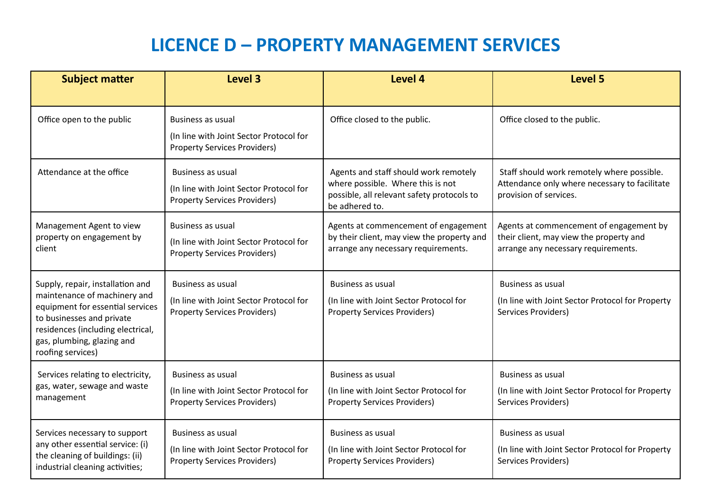## **LICENCE D – PROPERTY MANAGEMENT SERVICES**

| <b>Subject matter</b>                                                                                                                                                                                                     | Level 3                                                                                                    | <b>Level 4</b>                                                                                                                             | <b>Level 5</b>                                                                                                            |
|---------------------------------------------------------------------------------------------------------------------------------------------------------------------------------------------------------------------------|------------------------------------------------------------------------------------------------------------|--------------------------------------------------------------------------------------------------------------------------------------------|---------------------------------------------------------------------------------------------------------------------------|
| Office open to the public                                                                                                                                                                                                 | Business as usual<br>(In line with Joint Sector Protocol for<br><b>Property Services Providers)</b>        | Office closed to the public.                                                                                                               | Office closed to the public.                                                                                              |
| Attendance at the office                                                                                                                                                                                                  | Business as usual<br>(In line with Joint Sector Protocol for<br><b>Property Services Providers)</b>        | Agents and staff should work remotely<br>where possible. Where this is not<br>possible, all relevant safety protocols to<br>be adhered to. | Staff should work remotely where possible.<br>Attendance only where necessary to facilitate<br>provision of services.     |
| Management Agent to view<br>property on engagement by<br>client                                                                                                                                                           | Business as usual<br>(In line with Joint Sector Protocol for<br><b>Property Services Providers)</b>        | Agents at commencement of engagement<br>by their client, may view the property and<br>arrange any necessary requirements.                  | Agents at commencement of engagement by<br>their client, may view the property and<br>arrange any necessary requirements. |
| Supply, repair, installation and<br>maintenance of machinery and<br>equipment for essential services<br>to businesses and private<br>residences (including electrical,<br>gas, plumbing, glazing and<br>roofing services) | Business as usual<br>(In line with Joint Sector Protocol for<br><b>Property Services Providers)</b>        | Business as usual<br>(In line with Joint Sector Protocol for<br><b>Property Services Providers)</b>                                        | <b>Business as usual</b><br>(In line with Joint Sector Protocol for Property<br>Services Providers)                       |
| Services relating to electricity,<br>gas, water, sewage and waste<br>management                                                                                                                                           | <b>Business as usual</b><br>(In line with Joint Sector Protocol for<br><b>Property Services Providers)</b> | <b>Business as usual</b><br>(In line with Joint Sector Protocol for<br><b>Property Services Providers)</b>                                 | <b>Business as usual</b><br>(In line with Joint Sector Protocol for Property<br><b>Services Providers)</b>                |
| Services necessary to support<br>any other essential service: (i)<br>the cleaning of buildings: (ii)<br>industrial cleaning activities;                                                                                   | Business as usual<br>(In line with Joint Sector Protocol for<br><b>Property Services Providers)</b>        | Business as usual<br>(In line with Joint Sector Protocol for<br><b>Property Services Providers)</b>                                        | <b>Business as usual</b><br>(In line with Joint Sector Protocol for Property<br>Services Providers)                       |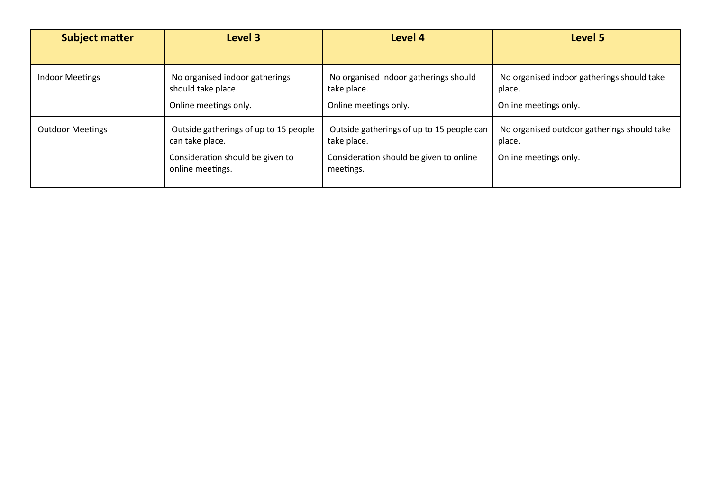| <b>Subject matter</b>   | Level 3                                                                                                          | Level 4                                                                                                          | Level 5                                                                        |
|-------------------------|------------------------------------------------------------------------------------------------------------------|------------------------------------------------------------------------------------------------------------------|--------------------------------------------------------------------------------|
|                         |                                                                                                                  |                                                                                                                  |                                                                                |
| <b>Indoor Meetings</b>  | No organised indoor gatherings<br>should take place.                                                             | No organised indoor gatherings should<br>take place.                                                             | No organised indoor gatherings should take<br>place.                           |
|                         | Online meetings only.                                                                                            | Online meetings only.                                                                                            | Online meetings only.                                                          |
| <b>Outdoor Meetings</b> | Outside gatherings of up to 15 people<br>can take place.<br>Consideration should be given to<br>online meetings. | Outside gatherings of up to 15 people can<br>take place.<br>Consideration should be given to online<br>meetings. | No organised outdoor gatherings should take<br>place.<br>Online meetings only. |